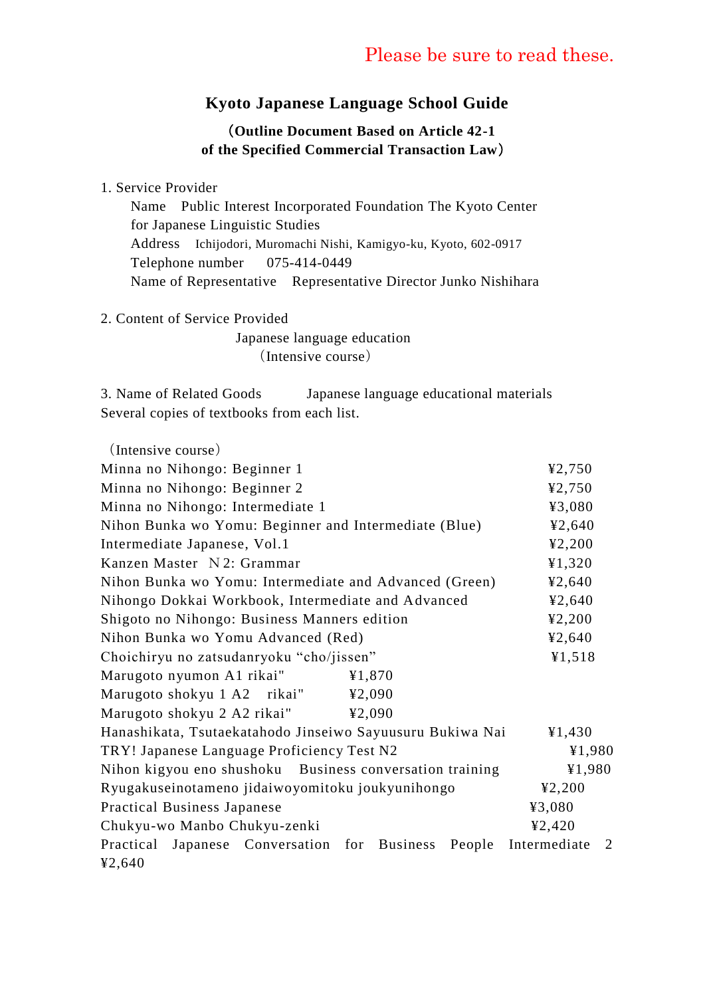### **Kyoto Japanese Language School Guide**

#### (**Outline Document Based on Article 42-1 of the Specified Commercial Transaction Law**)

#### 1. Service Provider

 Name Public Interest Incorporated Foundation The Kyoto Center for Japanese Linguistic Studies Address Ichijodori, Muromachi Nishi, Kamigyo-ku, Kyoto, 602-0917 Telephone number 075-414-0449 Name of Representative Representative Director Junko Nishihara

2. Content of Service Provided

 Japanese language education (Intensive course)

3. Name of Related Goods Japanese language educational materials Several copies of textbooks from each list.

(Intensive course) Minna no Nihongo: Beginner 1  $\text{\textless} 2,750$ Minna no Nihongo: Beginner 2  $\text{\textless} 2,750$ Minna no Nihongo: Intermediate 1  $\text{\textdegree{}}3,080$ Nihon Bunka wo Yomu: Beginner and Intermediate (Blue)  $\text{\textdegree{}}\, 540$ Intermediate Japanese, Vol.1  $\angle$  42,200 Kanzen Master N 2: Grammar  $\text{\textsterling}1,320$ Nihon Bunka wo Yomu: Intermediate and Advanced (Green)  $\text{\textdegree{}}\, 2,640$ Nihongo Dokkai Workbook, Intermediate and Advanced ¥2,640 Shigoto no Nihongo: Business Manners edition ¥2,200 Nihon Bunka wo Yomu Advanced (Red) ¥2,640 Choichiryu no zatsudanryoku "cho/jissen" ¥1,518 Marugoto nyumon A1 rikai" ¥1,870 Marugoto shokyu 1 A2 rikai" ¥2,090 Marugoto shokyu 2 A2 rikai" ¥2,090 Hanashikata, Tsutaekatahodo Jinseiwo Sayuusuru Bukiwa Nai ¥1,430 TRY! Japanese Language Proficiency Test N2  $\text{Y1,980}$ Nihon kigyou eno shushoku Business conversation training  $\qquad\qquad$  ¥1,980 Ryugakuseinotameno jidaiwoyomitoku joukyunihongo ¥2,200 Practical Business Japanese  $\frac{43,080}{ }$ Chukyu-wo Manbo Chukyu-zenki ¥2,420 Practical Japanese Conversation for Business People Intermediate 2 ¥2,640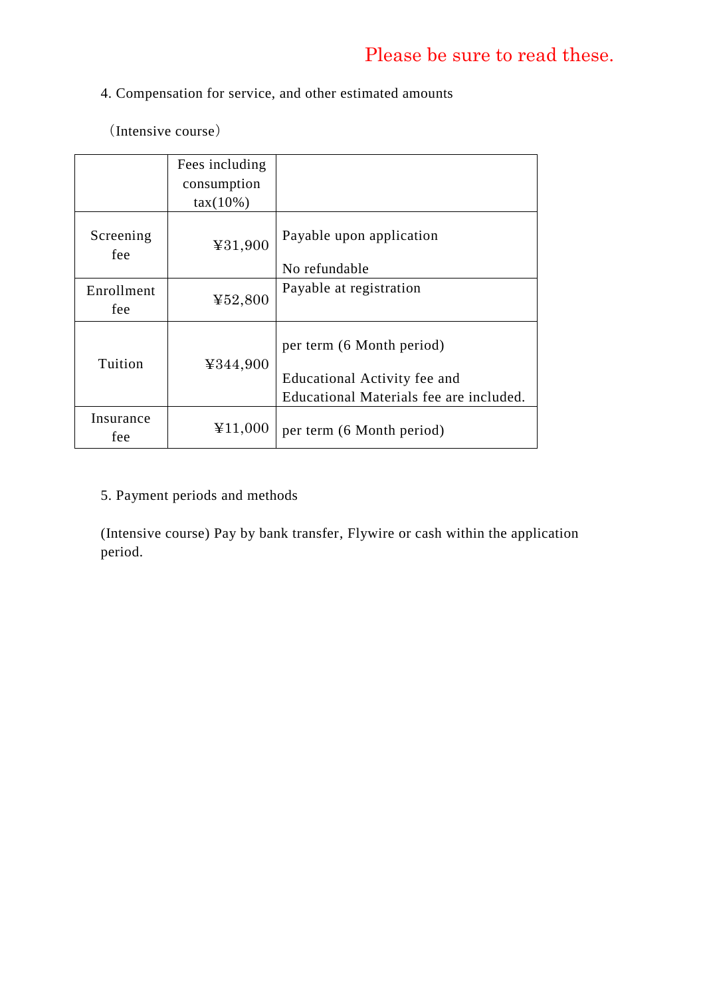### 4. Compensation for service, and other estimated amounts

(Intensive course)

|                    | Fees including<br>consumption<br>$tax(10\%)$ |                                                                                                      |
|--------------------|----------------------------------------------|------------------------------------------------------------------------------------------------------|
| Screening<br>fee   | ¥31,900                                      | Payable upon application<br>No refundable                                                            |
| Enrollment<br>fee. | ¥52,800                                      | Payable at registration                                                                              |
| Tuition            | ¥344,900                                     | per term (6 Month period)<br>Educational Activity fee and<br>Educational Materials fee are included. |
| Insurance<br>fee   | ¥11,000                                      | per term (6 Month period)                                                                            |

### 5. Payment periods and methods

(Intensive course) Pay by bank transfer, Flywire or cash within the application period.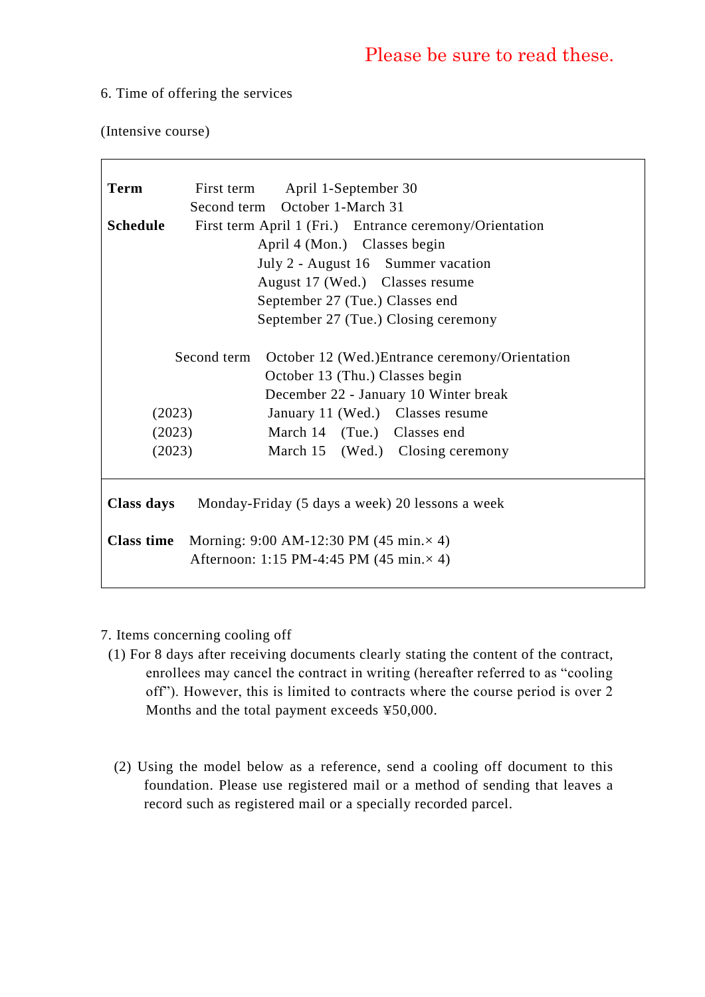#### 6. Time of offering the services

(Intensive course)

| Term                                                                  |        | First term April 1-September 30                             |  |  |
|-----------------------------------------------------------------------|--------|-------------------------------------------------------------|--|--|
|                                                                       |        | Second term October 1-March 31                              |  |  |
| <b>Schedule</b>                                                       |        | First term April 1 (Fri.) Entrance ceremony/Orientation     |  |  |
| April 4 (Mon.) Classes begin                                          |        |                                                             |  |  |
| July 2 - August 16 Summer vacation                                    |        |                                                             |  |  |
| August 17 (Wed.) Classes resume                                       |        |                                                             |  |  |
| September 27 (Tue.) Classes end                                       |        |                                                             |  |  |
| September 27 (Tue.) Closing ceremony                                  |        |                                                             |  |  |
|                                                                       |        |                                                             |  |  |
|                                                                       |        | Second term October 12 (Wed.) Entrance ceremony/Orientation |  |  |
|                                                                       |        | October 13 (Thu.) Classes begin                             |  |  |
|                                                                       |        | December 22 - January 10 Winter break                       |  |  |
|                                                                       | (2023) | January 11 (Wed.) Classes resume                            |  |  |
|                                                                       | (2023) | March 14 (Tue.) Classes end                                 |  |  |
|                                                                       | (2023) | March 15 (Wed.) Closing ceremony                            |  |  |
|                                                                       |        |                                                             |  |  |
|                                                                       |        |                                                             |  |  |
| Class days                                                            |        | Monday-Friday (5 days a week) 20 lessons a week             |  |  |
|                                                                       |        |                                                             |  |  |
| <b>Class time</b><br>Morning: $9:00$ AM-12:30 PM (45 min. $\times$ 4) |        |                                                             |  |  |
| Afternoon: 1:15 PM-4:45 PM (45 min. $\times$ 4)                       |        |                                                             |  |  |
|                                                                       |        |                                                             |  |  |

- 7. Items concerning cooling off
- (1) For 8 days after receiving documents clearly stating the content of the contract, enrollees may cancel the contract in writing (hereafter referred to as "cooling off"). However, this is limited to contracts where the course period is over 2 Months and the total payment exceeds ¥50,000.
	- (2) Using the model below as a reference, send a cooling off document to this foundation. Please use registered mail or a method of sending that leaves a record such as registered mail or a specially recorded parcel.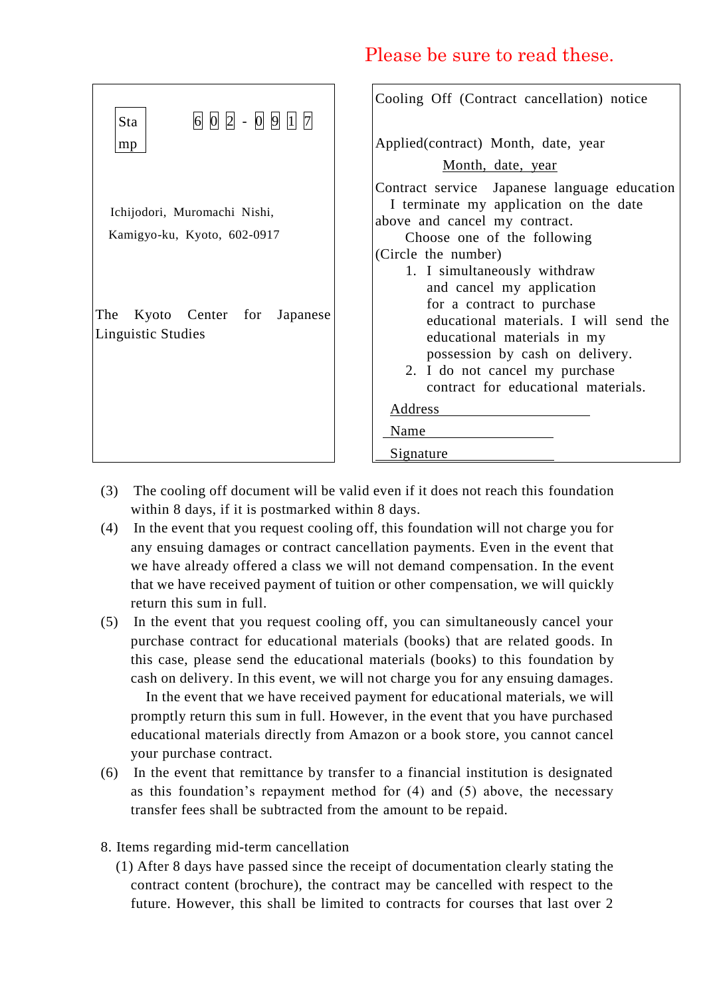| $6$ $0$ $2$ - $0$ $9$ $1$ $7$<br>Sta                                                                                  | Cooling Off (Contract cancellation) notice                                                                                                                                                                                                                                                                                                                                                                                                                    |
|-----------------------------------------------------------------------------------------------------------------------|---------------------------------------------------------------------------------------------------------------------------------------------------------------------------------------------------------------------------------------------------------------------------------------------------------------------------------------------------------------------------------------------------------------------------------------------------------------|
| mp                                                                                                                    | Applied(contract) Month, date, year                                                                                                                                                                                                                                                                                                                                                                                                                           |
|                                                                                                                       | Month, date, year                                                                                                                                                                                                                                                                                                                                                                                                                                             |
| Ichijodori, Muromachi Nishi,<br>Kamigyo-ku, Kyoto, 602-0917<br>Kyoto Center for Japanese<br>The<br>Linguistic Studies | Contract service Japanese language education<br>I terminate my application on the date<br>above and cancel my contract.<br>Choose one of the following<br>(Circle the number)<br>1. I simultaneously withdraw<br>and cancel my application<br>for a contract to purchase<br>educational materials. I will send the<br>educational materials in my<br>possession by cash on delivery.<br>2. I do not cancel my purchase<br>contract for educational materials. |
|                                                                                                                       | Address                                                                                                                                                                                                                                                                                                                                                                                                                                                       |
|                                                                                                                       | Name                                                                                                                                                                                                                                                                                                                                                                                                                                                          |
|                                                                                                                       | Signature                                                                                                                                                                                                                                                                                                                                                                                                                                                     |

- (3) The cooling off document will be valid even if it does not reach this foundation within 8 days, if it is postmarked within 8 days.
- (4) In the event that you request cooling off, this foundation will not charge you for any ensuing damages or contract cancellation payments. Even in the event that we have already offered a class we will not demand compensation. In the event that we have received payment of tuition or other compensation, we will quickly return this sum in full.
- (5) In the event that you request cooling off, you can simultaneously cancel your purchase contract for educational materials (books) that are related goods. In this case, please send the educational materials (books) to this foundation by cash on delivery. In this event, we will not charge you for any ensuing damages.

 In the event that we have received payment for educational materials, we will promptly return this sum in full. However, in the event that you have purchased educational materials directly from Amazon or a book store, you cannot cancel your purchase contract.

- (6) In the event that remittance by transfer to a financial institution is designated as this foundation's repayment method for (4) and (5) above, the necessary transfer fees shall be subtracted from the amount to be repaid.
- 8. Items regarding mid-term cancellation
	- (1) After 8 days have passed since the receipt of documentation clearly stating the contract content (brochure), the contract may be cancelled with respect to the future. However, this shall be limited to contracts for courses that last over 2